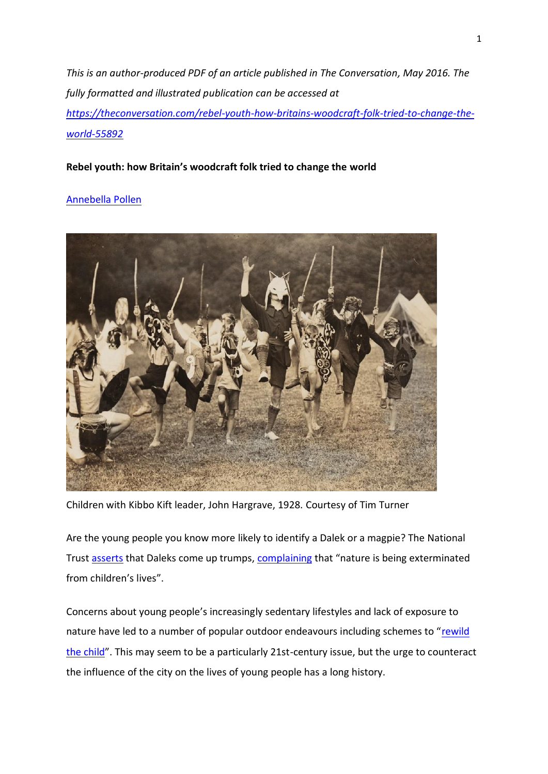*This is an author-produced PDF of an article published in The Conversation, May 2016. The fully formatted and illustrated publication can be accessed at [https://theconversation.com/rebel-youth-how-britains-woodcraft-folk-tried-to-change-the](https://theconversation.com/rebel-youth-how-britains-woodcraft-folk-tried-to-change-the-world-55892)[world-55892](https://theconversation.com/rebel-youth-how-britains-woodcraft-folk-tried-to-change-the-world-55892)*

## **Rebel youth: how Britain's woodcraft folk tried to change the world**

# [Annebella Pollen](https://theconversation.com/rebel-youth-how-britains-woodcraft-folk-tried-to-change-the-world-55892)



Children with Kibbo Kift leader, John Hargrave, 1928. Courtesy of Tim Turner

Are the young people you know more likely to identify a Dalek or a magpie? The National Trust [asserts](http://www.nationaltrust.org.uk/documents/read-our-natural-childhood-report.pdf) that Daleks come up trumps, [complaining](http://www.nationaltrust.org.uk/children-and-nature) that "nature is being exterminated from children's lives".

Concerns about young people's increasingly sedentary lifestyles and lack of exposure to nature have led to a number of popular outdoor endeavours including schemes to "[rewild](http://www.theguardian.com/commentisfree/video/2015/apr/08/time-to-rewild-your-child-george-monbiot-video) [the child](http://www.theguardian.com/commentisfree/video/2015/apr/08/time-to-rewild-your-child-george-monbiot-video)". This may seem to be a particularly 21st-century issue, but the urge to counteract the influence of the city on the lives of young people has a long history.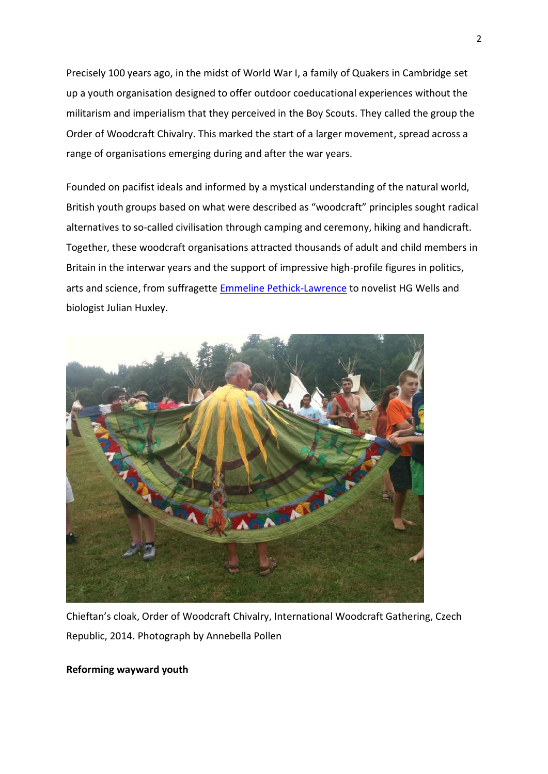Precisely 100 years ago, in the midst of World War I, a family of Quakers in Cambridge set up a youth organisation designed to offer outdoor coeducational experiences without the militarism and imperialism that they perceived in the Boy Scouts. They called the group the Order of Woodcraft Chivalry. This marked the start of a larger movement, spread across a range of organisations emerging during and after the war years.

Founded on pacifist ideals and informed by a mystical understanding of the natural world, British youth groups based on what were described as "woodcraft" principles sought radical alternatives to so-called civilisation through camping and ceremony, hiking and handicraft. Together, these woodcraft organisations attracted thousands of adult and child members in Britain in the interwar years and the support of impressive high-profile figures in politics, arts and science, from suffragette [Emmeline Pethick-Lawrence](http://orlando.cambridge.org/public/svPeople?person_id=pethem) to novelist HG Wells and biologist Julian Huxley.



Chieftan's cloak, Order of Woodcraft Chivalry, International Woodcraft Gathering, Czech Republic, 2014. Photograph by Annebella Pollen

### **Reforming wayward youth**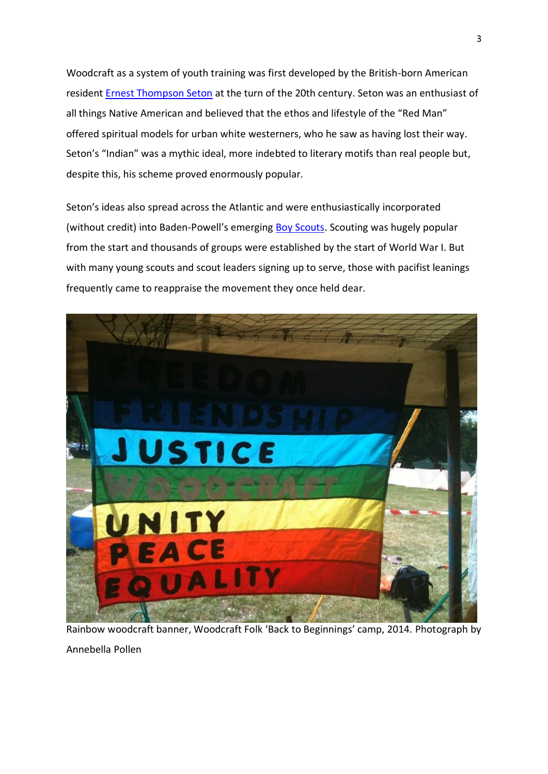Woodcraft as a system of youth training was first developed by the British-born American resident [Ernest Thompson Seton](http://etsetoninstitute.org/biography/) at the turn of the 20th century. Seton was an enthusiast of all things Native American and believed that the ethos and lifestyle of the "Red Man" offered spiritual models for urban white westerners, who he saw as having lost their way. Seton's "Indian" was a mythic ideal, more indebted to literary motifs than real people but, despite this, his scheme proved enormously popular.

Seton's ideas also spread across the Atlantic and were enthusiastically incorporated (without credit) into Baden-Powell's emerging [Boy Scouts.](http://scouts.org.uk/about-us/history/) Scouting was hugely popular from the start and thousands of groups were established by the start of World War I. But with many young scouts and scout leaders signing up to serve, those with pacifist leanings frequently came to reappraise the movement they once held dear.



Rainbow woodcraft banner, Woodcraft Folk 'Back to Beginnings' camp, 2014. Photograph by

Annebella Pollen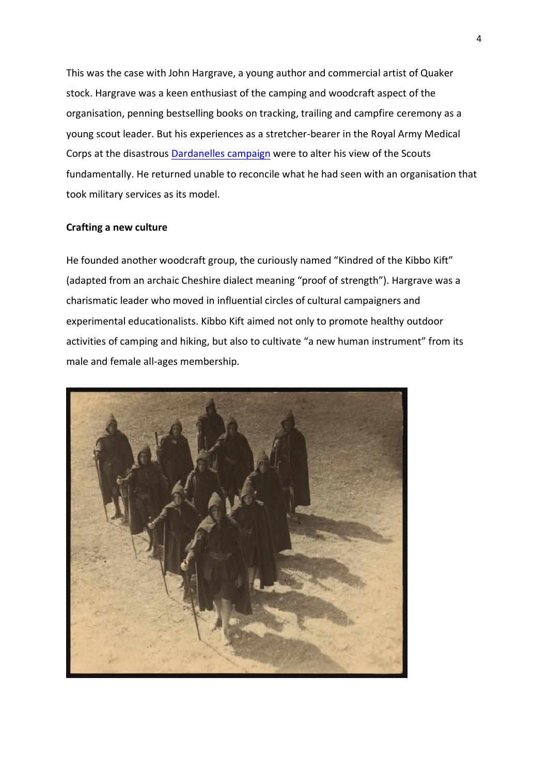This was the case with John Hargrave, a young author and commercial artist of Quaker stock. Hargrave was a keen enthusiast of the camping and woodcraft aspect of the organisation, penning bestselling books on tracking, trailing and campfire ceremony as a young scout leader. But his experiences as a stretcher-bearer in the Royal Army Medical Corps at the disastrous **Dardanelles campaign** were to alter his view of the Scouts fundamentally. He returned unable to reconcile what he had seen with an organisation that took military services as its model.

### **Crafting a new culture**

He founded another woodcraft group, the curiously named "Kindred of the Kibbo Kift" (adapted from an archaic Cheshire dialect meaning "proof of strength"). Hargrave was a charismatic leader who moved in influential circles of cultural campaigners and experimental educationalists. Kibbo Kift aimed not only to promote healthy outdoor activities of camping and hiking, but also to cultivate "a new human instrument" from its male and female all-ages membership.

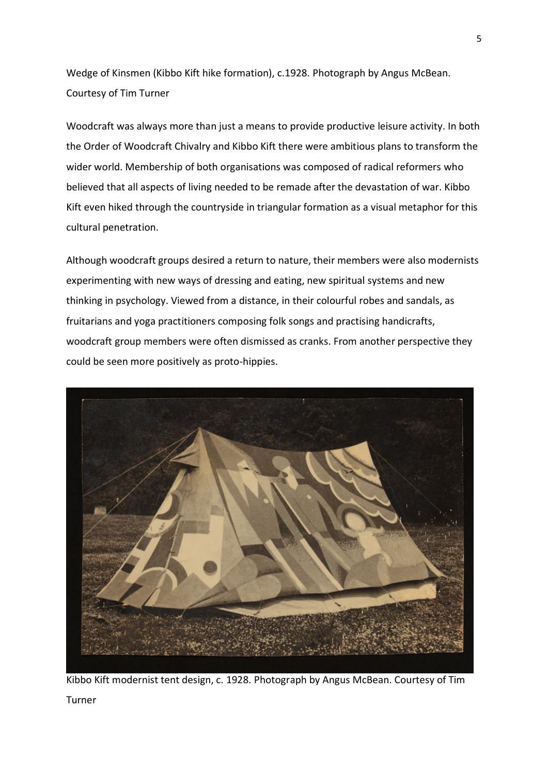Wedge of Kinsmen (Kibbo Kift hike formation), c.1928. Photograph by Angus McBean. Courtesy of Tim Turner

Woodcraft was always more than just a means to provide productive leisure activity. In both the Order of Woodcraft Chivalry and Kibbo Kift there were ambitious plans to transform the wider world. Membership of both organisations was composed of radical reformers who believed that all aspects of living needed to be remade after the devastation of war. Kibbo Kift even hiked through the countryside in triangular formation as a visual metaphor for this cultural penetration.

Although woodcraft groups desired a return to nature, their members were also modernists experimenting with new ways of dressing and eating, new spiritual systems and new thinking in psychology. Viewed from a distance, in their colourful robes and sandals, as fruitarians and yoga practitioners composing folk songs and practising handicrafts, woodcraft group members were often dismissed as cranks. From another perspective they could be seen more positively as proto-hippies.



Kibbo Kift modernist tent design, c. 1928. Photograph by Angus McBean. Courtesy of Tim

Turner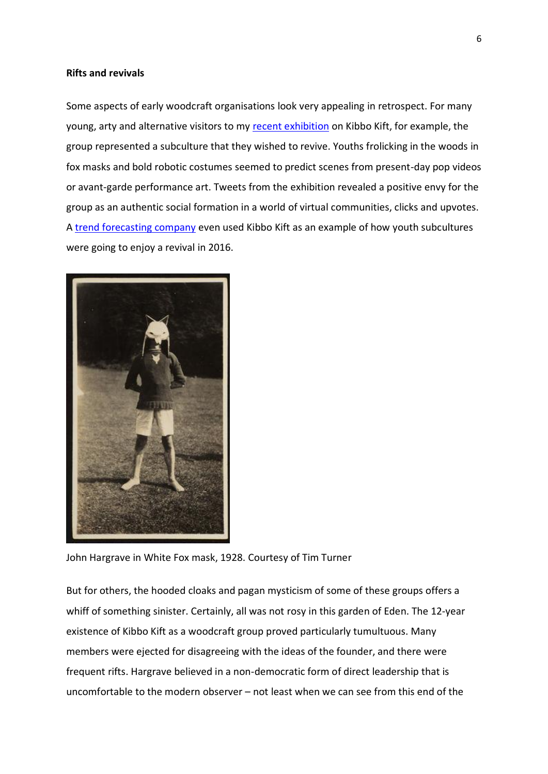#### **Rifts and revivals**

Some aspects of early woodcraft organisations look very appealing in retrospect. For many young, arty and alternative visitors to my [recent exhibition](http://www.whitechapelgallery.org/exhibitions/intellectual-barbarians-the-kibbo-kift-kindred/) on Kibbo Kift, for example, the group represented a subculture that they wished to revive. Youths frolicking in the woods in fox masks and bold robotic costumes seemed to predict scenes from present-day pop videos or avant-garde performance art. Tweets from the exhibition revealed a positive envy for the group as an authentic social formation in a world of virtual communities, clicks and upvotes. A [trend forecasting company](http://flamingogroup.com/flamingo-cultural-intelligence-introducing-through-the-cultural-lens) even used Kibbo Kift as an example of how youth subcultures were going to enjoy a revival in 2016.



John Hargrave in White Fox mask, 1928. Courtesy of Tim Turner

But for others, the hooded cloaks and pagan mysticism of some of these groups offers a whiff of something sinister. Certainly, all was not rosy in this garden of Eden. The 12-year existence of Kibbo Kift as a woodcraft group proved particularly tumultuous. Many members were ejected for disagreeing with the ideas of the founder, and there were frequent rifts. Hargrave believed in a non-democratic form of direct leadership that is uncomfortable to the modern observer – not least when we can see from this end of the